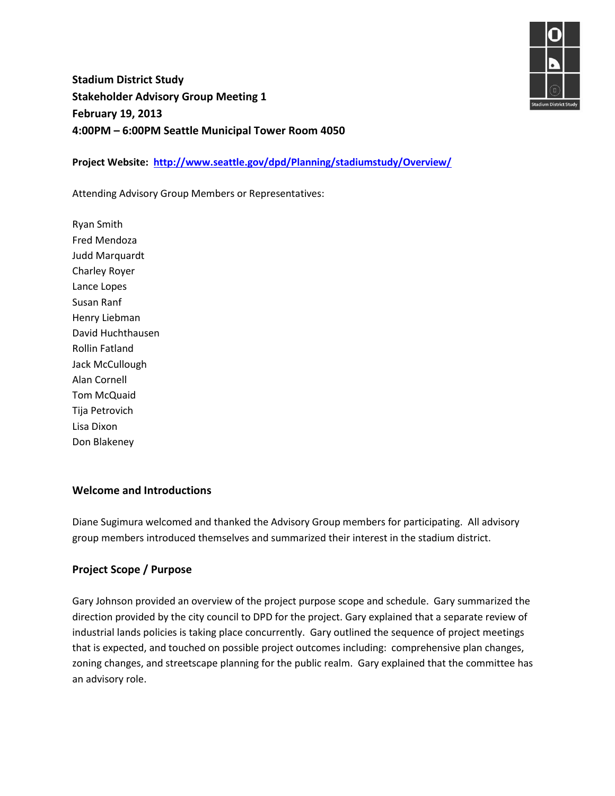**Stadium District Study Stakeholder Advisory Group Meeting 1 February 19, 2013 4:00PM – 6:00PM Seattle Municipal Tower Room 4050**

**Project Website: <http://www.seattle.gov/dpd/Planning/stadiumstudy/Overview/>**

Attending Advisory Group Members or Representatives:

Ryan Smith Fred Mendoza Judd Marquardt Charley Royer Lance Lopes Susan Ranf Henry Liebman David Huchthausen Rollin Fatland Jack McCullough Alan Cornell Tom McQuaid Tija Petrovich Lisa Dixon Don Blakeney

#### **Welcome and Introductions**

Diane Sugimura welcomed and thanked the Advisory Group members for participating. All advisory group members introduced themselves and summarized their interest in the stadium district.

#### **Project Scope / Purpose**

Gary Johnson provided an overview of the project purpose scope and schedule. Gary summarized the direction provided by the city council to DPD for the project. Gary explained that a separate review of industrial lands policies is taking place concurrently. Gary outlined the sequence of project meetings that is expected, and touched on possible project outcomes including: comprehensive plan changes, zoning changes, and streetscape planning for the public realm. Gary explained that the committee has an advisory role.

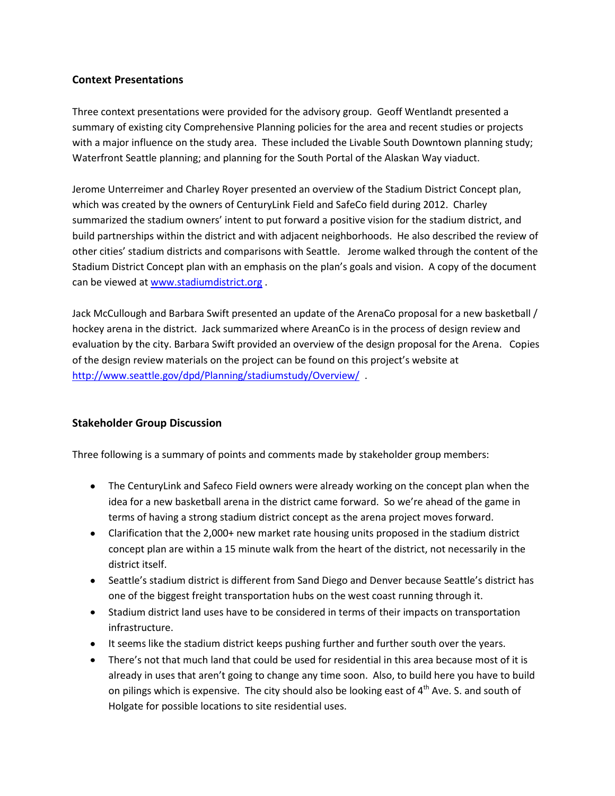## **Context Presentations**

Three context presentations were provided for the advisory group. Geoff Wentlandt presented a summary of existing city Comprehensive Planning policies for the area and recent studies or projects with a major influence on the study area. These included the Livable South Downtown planning study; Waterfront Seattle planning; and planning for the South Portal of the Alaskan Way viaduct.

Jerome Unterreimer and Charley Royer presented an overview of the Stadium District Concept plan, which was created by the owners of CenturyLink Field and SafeCo field during 2012. Charley summarized the stadium owners' intent to put forward a positive vision for the stadium district, and build partnerships within the district and with adjacent neighborhoods. He also described the review of other cities' stadium districts and comparisons with Seattle. Jerome walked through the content of the Stadium District Concept plan with an emphasis on the plan's goals and vision. A copy of the document can be viewed at [www.stadiumdistrict.org](http://www.stadiumdistrict.org/) .

Jack McCullough and Barbara Swift presented an update of the ArenaCo proposal for a new basketball / hockey arena in the district. Jack summarized where AreanCo is in the process of design review and evaluation by the city. Barbara Swift provided an overview of the design proposal for the Arena. Copies of the design review materials on the project can be found on this project's website at <http://www.seattle.gov/dpd/Planning/stadiumstudy/Overview/>.

## **Stakeholder Group Discussion**

Three following is a summary of points and comments made by stakeholder group members:

- The CenturyLink and Safeco Field owners were already working on the concept plan when the idea for a new basketball arena in the district came forward. So we're ahead of the game in terms of having a strong stadium district concept as the arena project moves forward.
- Clarification that the 2,000+ new market rate housing units proposed in the stadium district concept plan are within a 15 minute walk from the heart of the district, not necessarily in the district itself.
- Seattle's stadium district is different from Sand Diego and Denver because Seattle's district has one of the biggest freight transportation hubs on the west coast running through it.
- Stadium district land uses have to be considered in terms of their impacts on transportation infrastructure.
- It seems like the stadium district keeps pushing further and further south over the years.
- There's not that much land that could be used for residential in this area because most of it is already in uses that aren't going to change any time soon. Also, to build here you have to build on pilings which is expensive. The city should also be looking east of 4<sup>th</sup> Ave. S. and south of Holgate for possible locations to site residential uses.